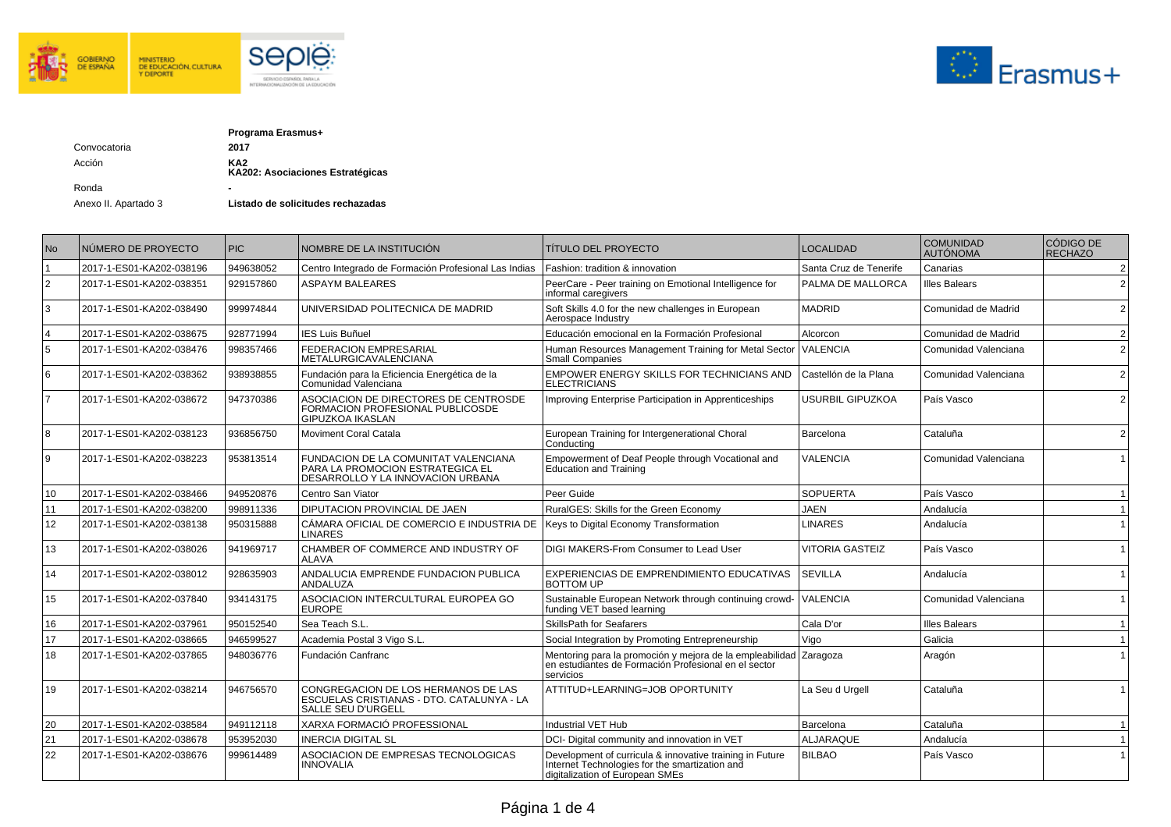



|              | Programa Erasmus+                       |
|--------------|-----------------------------------------|
| Convocatoria | 2017                                    |
| Acción       | KA2<br>KA202: Asociaciones Estratégicas |
| Ronda        | -                                       |

Anexo II. Apartado 3 **Listado de solicitudes rechazadas** 

| N <sub>o</sub> | INÚMERO DE PROYECTO      | <b>PIC</b> | NOMBRE DE LA INSTITUCIÓN                                                                                      | <b>TÍTULO DEL PROYECTO</b>                                                                                                                    | LOCALIDAD              | <b>COMUNIDAD</b><br><b>AUTÓNOMA</b> | CÓDIGO DE<br>RECHAZO |
|----------------|--------------------------|------------|---------------------------------------------------------------------------------------------------------------|-----------------------------------------------------------------------------------------------------------------------------------------------|------------------------|-------------------------------------|----------------------|
|                | 2017-1-ES01-KA202-038196 | 949638052  | Centro Integrado de Formación Profesional Las Indias                                                          | Fashion: tradition & innovation                                                                                                               | Santa Cruz de Tenerife | Canarias                            | $\overline{2}$       |
| $\overline{2}$ | 2017-1-ES01-KA202-038351 | 929157860  | <b>ASPAYM BALEARES</b>                                                                                        | PeerCare - Peer training on Emotional Intelligence for<br>informal caregivers                                                                 | PALMA DE MALLORCA      | <b>Illes Balears</b>                | $\overline{2}$       |
| 3              | 2017-1-ES01-KA202-038490 | 999974844  | UNIVERSIDAD POLITECNICA DE MADRID                                                                             | Soft Skills 4.0 for the new challenges in European<br>Aerospace Industry                                                                      | <b>MADRID</b>          | Comunidad de Madrid                 | 2                    |
|                | 2017-1-ES01-KA202-038675 | 928771994  | <b>IES Luis Buñuel</b>                                                                                        | Educación emocional en la Formación Profesional                                                                                               | Alcorcon               | Comunidad de Madrid                 | 2                    |
| 5              | 2017-1-ES01-KA202-038476 | 998357466  | <b>FEDERACION EMPRESARIAL</b><br>METALURGICAVALENCIANA                                                        | Human Resources Management Training for Metal Sector<br><b>Small Companies</b>                                                                | <b>VALENCIA</b>        | Comunidad Valenciana                | 2                    |
| 6              | 2017-1-ES01-KA202-038362 | 938938855  | Fundación para la Eficiencia Energética de la<br>Comunidad Valenciana                                         | EMPOWER ENERGY SKILLS FOR TECHNICIANS AND<br><b>ELECTRICIANS</b>                                                                              | Castellón de la Plana  | Comunidad Valenciana                | $\overline{2}$       |
|                | 2017-1-ES01-KA202-038672 | 947370386  | ASOCIACION DE DIRECTORES DE CENTROSDE<br>FORMACION PROFESIONAL PUBLICOSDE<br><b>GIPUZKOA IKASLAN</b>          | Improving Enterprise Participation in Apprenticeships                                                                                         | USURBIL GIPUZKOA       | País Vasco                          | 2                    |
| 8              | 2017-1-ES01-KA202-038123 | 936856750  | <b>Moviment Coral Catala</b>                                                                                  | European Training for Intergenerational Choral<br>Conductina                                                                                  | Barcelona              | Cataluña                            | $\overline{2}$       |
| q              | 2017-1-ES01-KA202-038223 | 953813514  | FUNDACION DE LA COMUNITAT VALENCIANA<br>PARA LA PROMOCIÓN ESTRATEGICA EL<br>DESARROLLO Y LA INNOVACION URBANA | Empowerment of Deaf People through Vocational and<br><b>Education and Training</b>                                                            | <b>VALENCIA</b>        | Comunidad Valenciana                |                      |
| 10             | 2017-1-ES01-KA202-038466 | 949520876  | Centro San Viator                                                                                             | Peer Guide                                                                                                                                    | <b>SOPUERTA</b>        | País Vasco                          |                      |
| 11             | 2017-1-ES01-KA202-038200 | 998911336  | DIPUTACION PROVINCIAL DE JAEN                                                                                 | RuralGES: Skills for the Green Economy                                                                                                        | <b>JAEN</b>            | Andalucía                           |                      |
| 12             | 2017-1-ES01-KA202-038138 | 950315888  | CÁMARA OFICIAL DE COMERCIO E INDUSTRIA DE<br><b>LINARES</b>                                                   | Keys to Digital Economy Transformation                                                                                                        | <b>LINARES</b>         | Andalucía                           |                      |
| 13             | 2017-1-ES01-KA202-038026 | 941969717  | CHAMBER OF COMMERCE AND INDUSTRY OF<br>ALAVA                                                                  | <b>DIGI MAKERS-From Consumer to Lead User</b>                                                                                                 | <b>VITORIA GASTEIZ</b> | País Vasco                          |                      |
| 14             | 2017-1-ES01-KA202-038012 | 928635903  | ANDALUCIA EMPRENDE FUNDACION PUBLICA<br>ANDALUZA                                                              | EXPERIENCIAS DE EMPRENDIMIENTO EDUCATIVAS<br><b>BOTTOM UP</b>                                                                                 | <b>SEVILLA</b>         | Andalucía                           |                      |
| 15             | 2017-1-ES01-KA202-037840 | 934143175  | ASOCIACION INTERCULTURAL EUROPEA GO<br><b>EUROPE</b>                                                          | Sustainable European Network through continuing crowd-<br>funding VET based learning                                                          | <b>VALENCIA</b>        | Comunidad Valenciana                |                      |
| 16             | 2017-1-ES01-KA202-037961 | 950152540  | Sea Teach S.L.                                                                                                | <b>SkillsPath for Seafarers</b>                                                                                                               | Cala D'or              | <b>Illes Balears</b>                | $\overline{1}$       |
| 17             | 2017-1-ES01-KA202-038665 | 946599527  | Academia Postal 3 Vigo S.L.                                                                                   | Social Integration by Promoting Entrepreneurship                                                                                              | Vigo                   | Galicia                             | $\overline{1}$       |
| 18             | 2017-1-ES01-KA202-037865 | 948036776  | Fundación Canfranc                                                                                            | Mentoring para la promoción y mejora de la empleabilidad Zaragoza<br>en estudiantes de Formación Profesional en el sector<br>servicios        |                        | Aragón                              |                      |
| 19             | 2017-1-ES01-KA202-038214 | 946756570  | CONGREGACION DE LOS HERMANOS DE LAS<br>ESCUELAS CRISTIANAS - DTO, CATALUNYA - LA<br><b>SALLE SEU D'URGELL</b> | ATTITUD+LEARNING=JOB OPORTUNITY                                                                                                               | La Seu d Urgell        | Cataluña                            |                      |
| 20             | 2017-1-ES01-KA202-038584 | 949112118  | XARXA FORMACIÓ PROFESSIONAL                                                                                   | Industrial VET Hub                                                                                                                            | Barcelona              | Cataluña                            |                      |
| 21             | 2017-1-ES01-KA202-038678 | 953952030  | INERCIA DIGITAL SL                                                                                            | DCI- Digital community and innovation in VET                                                                                                  | <b>ALJARAQUE</b>       | Andalucía                           |                      |
| 22             | 2017-1-ES01-KA202-038676 | 999614489  | ASOCIACION DE EMPRESAS TECNOLOGICAS<br><b>INNOVALIA</b>                                                       | Development of curricula & innovative training in Future<br>Internet Technologies for the smartization and<br>digitalization of European SMEs | <b>BILBAO</b>          | País Vasco                          |                      |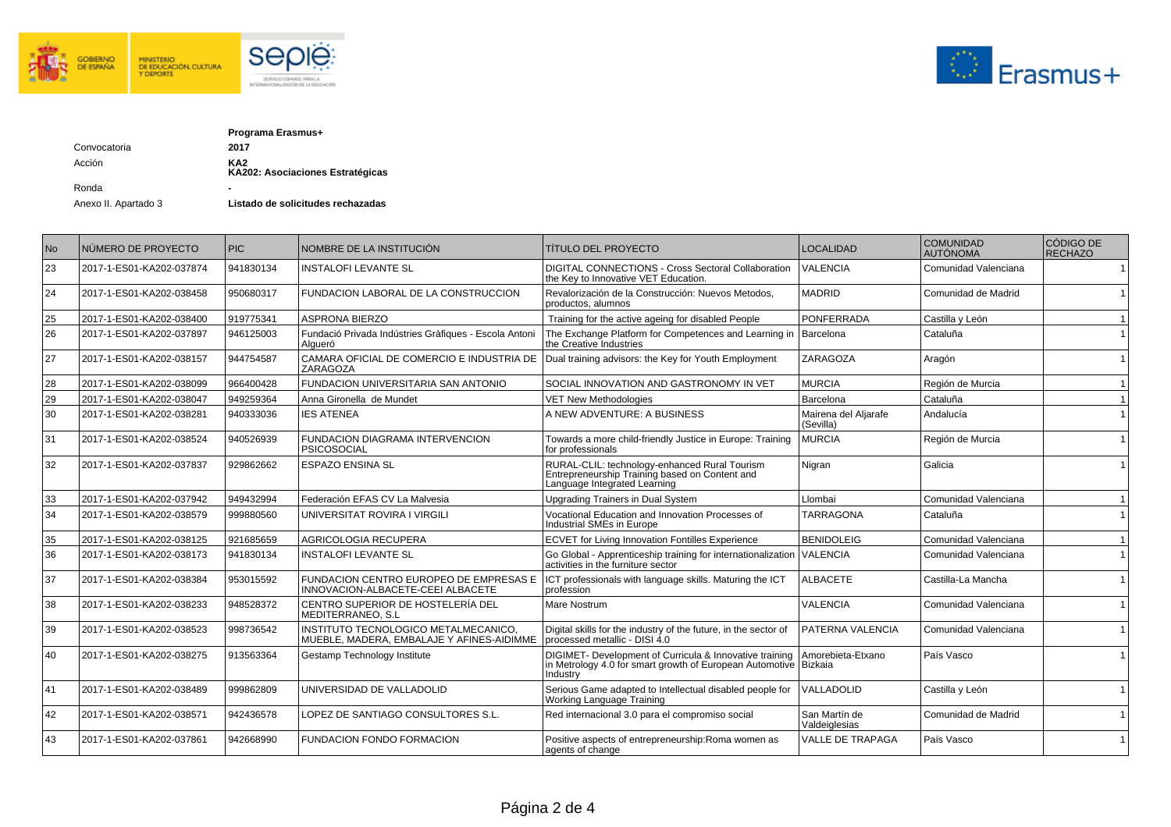



|              | Programa Erasmus+                                   |
|--------------|-----------------------------------------------------|
| Convocatoria | 2017                                                |
| Acción       | KA <sub>2</sub><br>KA202: Asociaciones Estratégicas |
| Ronda        | -                                                   |

Anexo II. Apartado 3 **Listado de solicitudes rechazadas** 

| No | NÚMERO DE PROYECTO       | <b>PIC</b> | NOMBRE DE LA INSTITUCIÓN                                                           | <b>TÍTULO DEL PROYECTO</b>                                                                                                                     | LOCALIDAD                         | <b>COMUNIDAD</b><br><b>AUTÓNOMA</b> | CÓDIGO DE<br>RECHAZO |
|----|--------------------------|------------|------------------------------------------------------------------------------------|------------------------------------------------------------------------------------------------------------------------------------------------|-----------------------------------|-------------------------------------|----------------------|
| 23 | 2017-1-ES01-KA202-037874 | 941830134  | <b>INSTALOFI LEVANTE SL</b>                                                        | DIGITAL CONNECTIONS - Cross Sectoral Collaboration<br>the Key to Innovative VET Education.                                                     | VALENCIA                          | Comunidad Valenciana                |                      |
| 24 | 2017-1-ES01-KA202-038458 | 950680317  | FUNDACION LABORAL DE LA CONSTRUCCION                                               | Revalorización de la Construcción: Nuevos Metodos,<br>productos, alumnos                                                                       | <b>MADRID</b>                     | Comunidad de Madrid                 |                      |
| 25 | 2017-1-ES01-KA202-038400 | 919775341  | <b>ASPRONA BIERZO</b>                                                              | Training for the active ageing for disabled People                                                                                             | <b>PONFERRADA</b>                 | Castilla y León                     |                      |
| 26 | 2017-1-ES01-KA202-037897 | 946125003  | Fundació Privada Indústries Gràfiques - Escola Antoni<br>Algueró                   | The Exchange Platform for Competences and Learning in<br>the Creative Industries                                                               | Barcelona                         | Cataluña                            |                      |
| 27 | 2017-1-ES01-KA202-038157 | 944754587  | CAMARA OFICIAL DE COMERCIO E INDUSTRIA DE<br>ZARAGOZA                              | Dual training advisors: the Key for Youth Employment                                                                                           | ZARAGOZA                          | Aragón                              |                      |
| 28 | 2017-1-ES01-KA202-038099 | 966400428  | FUNDACION UNIVERSITARIA SAN ANTONIO                                                | SOCIAL INNOVATION AND GASTRONOMY IN VET                                                                                                        | <b>MURCIA</b>                     | Región de Murcia                    |                      |
| 29 | 2017-1-ES01-KA202-038047 | 949259364  | Anna Gironella de Mundet                                                           | <b>VET New Methodologies</b>                                                                                                                   | Barcelona                         | Cataluña                            |                      |
| 30 | 2017-1-ES01-KA202-038281 | 940333036  | <b>IES ATENEA</b>                                                                  | A NEW ADVENTURE: A BUSINESS                                                                                                                    | Mairena del Aliarafe<br>(Sevilla) | Andalucía                           |                      |
| 31 | 2017-1-ES01-KA202-038524 | 940526939  | <b>FUNDACION DIAGRAMA INTERVENCION</b><br><b>PSICOSOCIAL</b>                       | Towards a more child-friendly Justice in Europe: Training<br>for professionals                                                                 | <b>MURCIA</b>                     | Región de Murcia                    |                      |
| 32 | 2017-1-ES01-KA202-037837 | 929862662  | <b>ESPAZO ENSINA SL</b>                                                            | RURAL-CLIL: technology-enhanced Rural Tourism<br>Entrepreneurship Training based on Content and<br>Language Integrated Learning                | Nigran                            | Galicia                             |                      |
| 33 | 2017-1-ES01-KA202-037942 | 949432994  | Federación EFAS CV La Malvesia                                                     | <b>Upgrading Trainers in Dual System</b>                                                                                                       | Llombai                           | Comunidad Valenciana                |                      |
| 34 | 2017-1-ES01-KA202-038579 | 999880560  | UNIVERSITAT ROVIRA I VIRGILI                                                       | Vocational Education and Innovation Processes of<br>Industrial SMEs in Europe                                                                  | <b>TARRAGONA</b>                  | Cataluña                            |                      |
| 35 | 2017-1-ES01-KA202-038125 | 921685659  | <b>AGRICOLOGIA RECUPERA</b>                                                        | <b>ECVET for Living Innovation Fontilles Experience</b>                                                                                        | <b>BENIDOLEIG</b>                 | Comunidad Valenciana                |                      |
| 36 | 2017-1-ES01-KA202-038173 | 941830134  | <b>INSTALOFI LEVANTE SL</b>                                                        | Go Global - Apprenticeship training for internationalization<br>activities in the furniture sector                                             | <b>VALENCIA</b>                   | Comunidad Valenciana                |                      |
| 37 | 2017-1-ES01-KA202-038384 | 953015592  | FUNDACION CENTRO EUROPEO DE EMPRESAS E<br>INNOVACION-ALBACETE-CEEI ALBACETE        | ICT professionals with language skills. Maturing the ICT<br>profession                                                                         | <b>ALBACETE</b>                   | Castilla-La Mancha                  |                      |
| 38 | 2017-1-ES01-KA202-038233 | 948528372  | CENTRO SUPERIOR DE HOSTELERÍA DEL<br>MEDITERRANEO, S.L                             | Mare Nostrum                                                                                                                                   | <b>VALENCIA</b>                   | Comunidad Valenciana                |                      |
| 39 | 2017-1-ES01-KA202-038523 | 998736542  | INSTITUTO TECNOLOGICO METALMECANICO,<br> MUEBLE, MADERA, EMBALAJE Y AFINES-AIDIMME | Digital skills for the industry of the future, in the sector of<br>processed metallic - DISI 4.0                                               | PATERNA VALENCIA                  | Comunidad Valenciana                |                      |
| 40 | 2017-1-ES01-KA202-038275 | 913563364  | Gestamp Technology Institute                                                       | DIGIMET- Development of Curricula & Innovative training Amorebi in Metrology 4.0 for smart growth of European Automotive   Bizkaia<br>Industrv | Amorebieta-Etxano                 | País Vasco                          |                      |
| 41 | 2017-1-ES01-KA202-038489 | 999862809  | UNIVERSIDAD DE VALLADOLID                                                          | Serious Game adapted to Intellectual disabled people for<br>Working Language Training                                                          | VALLADOLID                        | Castilla y León                     |                      |
| 42 | 2017-1-ES01-KA202-038571 | 942436578  | LOPEZ DE SANTIAGO CONSULTORES S.L.                                                 | Red internacional 3.0 para el compromiso social                                                                                                | San Martín de<br>Valdeiglesias    | Comunidad de Madrid                 |                      |
| 43 | 2017-1-ES01-KA202-037861 | 942668990  | FUNDACION FONDO FORMACION                                                          | Positive aspects of entrepreneurship: Roma women as<br>agents of change                                                                        | <b>VALLE DE TRAPAGA</b>           | País Vasco                          |                      |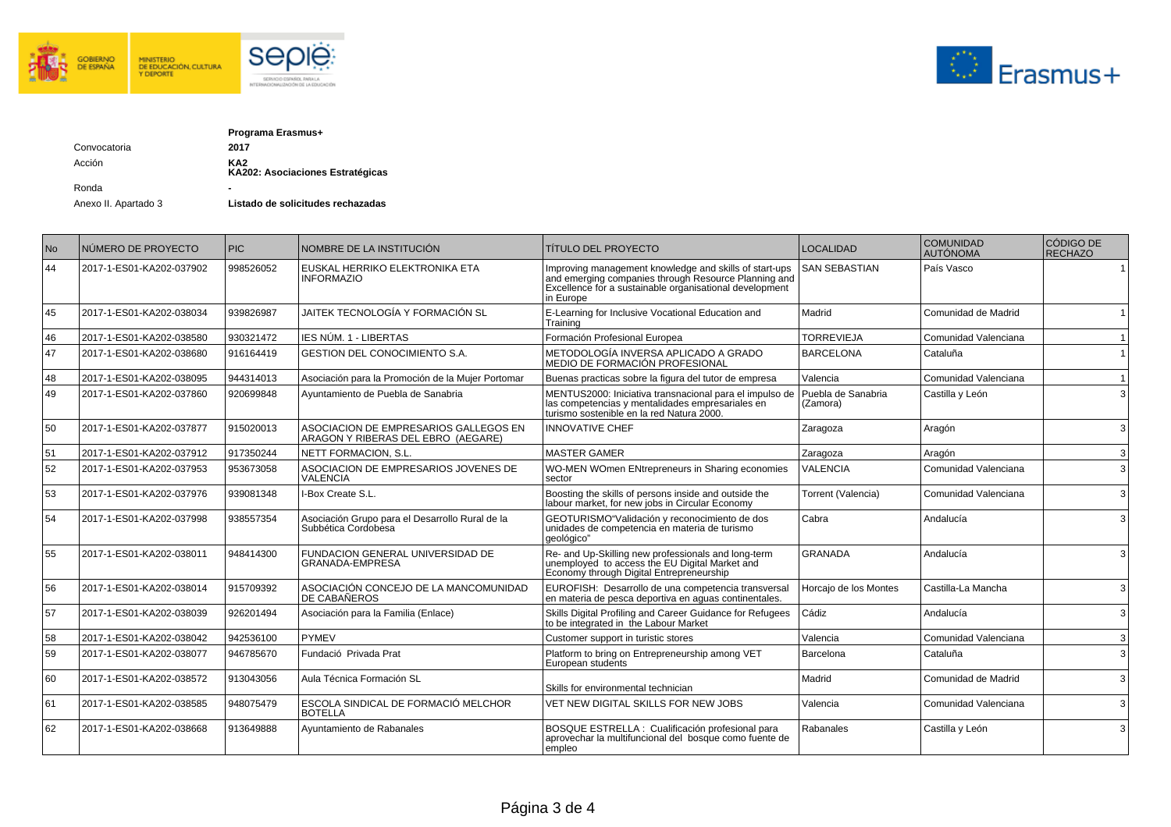



|              | Programa Erasmus+                       |
|--------------|-----------------------------------------|
| Convocatoria | 2017                                    |
| Acción       | KA2<br>KA202: Asociaciones Estratégicas |
| Ronda        |                                         |

Anexo II. Apartado 3 **Listado de solicitudes rechazadas** 

| <b>No</b> | NÚMERO DE PROYECTO       | PIC       | NOMBRE DE LA INSTITUCIÓN                                                    | <b>TÍTULO DEL PROYECTO</b>                                                                                                                                                             | <b>LOCALIDAD</b>               | <b>COMUNIDAD</b><br><b>AUTÓNOMA</b> | CÓDIGO DE<br>RECHAZO |
|-----------|--------------------------|-----------|-----------------------------------------------------------------------------|----------------------------------------------------------------------------------------------------------------------------------------------------------------------------------------|--------------------------------|-------------------------------------|----------------------|
| 44        | 2017-1-ES01-KA202-037902 | 998526052 | EUSKAL HERRIKO ELEKTRONIKA ETA<br><b>INFORMAZIO</b>                         | Improving management knowledge and skills of start-ups<br>and emerging companies through Resource Planning and<br>Excellence for a sustainable organisational development<br>in Europe | <b>SAN SEBASTIAN</b>           | País Vasco                          |                      |
| 45        | 2017-1-ES01-KA202-038034 | 939826987 | JAITEK TECNOLOGÍA Y FORMACIÓN SL                                            | E-Learning for Inclusive Vocational Education and<br>Training                                                                                                                          | Madrid                         | Comunidad de Madrid                 |                      |
| 46        | 2017-1-ES01-KA202-038580 | 930321472 | <b>IES NÚM. 1 - LIBERTAS</b>                                                | Formación Profesional Europea                                                                                                                                                          | <b>TORREVIEJA</b>              | Comunidad Valenciana                |                      |
| 47        | 2017-1-ES01-KA202-038680 | 916164419 | <b>GESTION DEL CONOCIMIENTO S.A.</b>                                        | METODOLOGÍA INVERSA APLICADO A GRADO<br>MEDIO DE FORMACIÓN PROFESIONAL                                                                                                                 | <b>BARCELONA</b>               | Cataluña                            |                      |
| 48        | 2017-1-ES01-KA202-038095 | 944314013 | Asociación para la Promoción de la Mujer Portomar                           | Buenas practicas sobre la figura del tutor de empresa                                                                                                                                  | Valencia                       | Comunidad Valenciana                |                      |
| 49        | 2017-1-ES01-KA202-037860 | 920699848 | Ayuntamiento de Puebla de Sanabria                                          | MENTUS2000: Iniciativa transnacional para el impulso de<br>las competencias y mentalidades empresariales en<br>turismo sostenible en la red Natura 2000.                               | Puebla de Sanabria<br>(Zamora) | Castilla y León                     | $\mathcal{E}$        |
| 50        | 2017-1-ES01-KA202-037877 | 915020013 | ASOCIACION DE EMPRESARIOS GALLEGOS EN<br>ARAGON Y RIBERAS DEL EBRO (AEGARE) | <b>INNOVATIVE CHEF</b>                                                                                                                                                                 | Zaragoza                       | Aragón                              | $\overline{3}$       |
| 51        | 2017-1-ES01-KA202-037912 | 917350244 | NETT FORMACION, S.L.                                                        | <b>MASTER GAMER</b>                                                                                                                                                                    | Zaragoza                       | Aragón                              | $\overline{3}$       |
| 52        | 2017-1-ES01-KA202-037953 | 953673058 | ASOCIACION DE EMPRESARIOS JOVENES DE<br><b>VALENCIA</b>                     | WO-MEN WOmen ENtrepreneurs in Sharing economies<br>sector                                                                                                                              | <b>VALENCIA</b>                | Comunidad Valenciana                | 3                    |
| 53        | 2017-1-ES01-KA202-037976 | 939081348 | I-Box Create S.L.                                                           | Boosting the skills of persons inside and outside the<br>labour market, for new jobs in Circular Economy                                                                               | Torrent (Valencia)             | Comunidad Valenciana                | $\overline{3}$       |
| 54        | 2017-1-ES01-KA202-037998 | 938557354 | Asociación Grupo para el Desarrollo Rural de la<br>Subbética Cordobesa      | GEOTURISMO"Validación y reconocimiento de dos<br>unidades de competencia en materia de turismo<br>qeológico"                                                                           | Cabra                          | Andalucía                           | 3                    |
| 55        | 2017-1-ES01-KA202-038011 | 948414300 | FUNDACION GENERAL UNIVERSIDAD DE<br>GRANADA-EMPRESA                         | Re- and Up-Skilling new professionals and long-term<br>unemployed to access the EU Digital Market and<br>Economy through Digital Entrepreneurship                                      | GRANADA                        | Andalucía                           |                      |
| 56        | 2017-1-ES01-KA202-038014 | 915709392 | ASOCIACIÓN CONCEJO DE LA MANCOMUNIDAD<br>DE CABAÑEROS                       | EUROFISH: Desarrollo de una competencia transversal<br>en materia de pesca deportiva en aguas continentales.                                                                           | Horcajo de los Montes          | Castilla-La Mancha                  | 3                    |
| 57        | 2017-1-ES01-KA202-038039 | 926201494 | Asociación para la Familia (Enlace)                                         | Skills Digital Profiling and Career Guidance for Refugees<br>to be integrated in the Labour Market                                                                                     | Cádiz                          | Andalucía                           | $\overline{3}$       |
| 58        | 2017-1-ES01-KA202-038042 | 942536100 | <b>PYMEV</b>                                                                | Customer support in turistic stores                                                                                                                                                    | Valencia                       | Comunidad Valenciana                | 3                    |
| 59        | 2017-1-ES01-KA202-038077 | 946785670 | Fundació Privada Prat                                                       | Platform to bring on Entrepreneurship among VET<br>European students                                                                                                                   | Barcelona                      | Cataluña                            | $\overline{3}$       |
| 60        | 2017-1-ES01-KA202-038572 | 913043056 | Aula Técnica Formación SL                                                   | Skills for environmental technician                                                                                                                                                    | Madrid                         | Comunidad de Madrid                 | $\overline{3}$       |
| 61        | 2017-1-ES01-KA202-038585 | 948075479 | ESCOLA SINDICAL DE FORMACIÓ MELCHOR<br><b>BOTELLA</b>                       | VET NEW DIGITAL SKILLS FOR NEW JOBS                                                                                                                                                    | Valencia                       | Comunidad Valenciana                | $\mathcal{R}$        |
| 62        | 2017-1-ES01-KA202-038668 | 913649888 | Ayuntamiento de Rabanales                                                   | BOSQUE ESTRELLA : Cualificación profesional para<br>aprovechar la multifuncional del bosque como fuente de<br>empleo                                                                   | Rabanales                      | Castilla y León                     |                      |